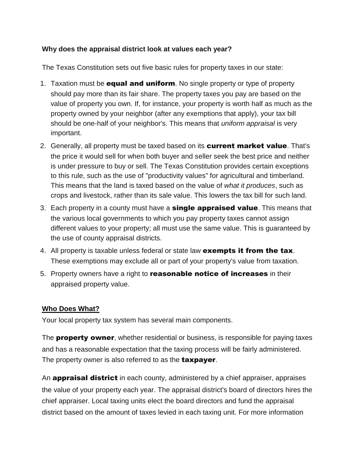## **Why does the appraisal district look at values each year?**

The Texas Constitution sets out five basic rules for property taxes in our state:

- 1. Taxation must be **equal and uniform**. No single property or type of property should pay more than its fair share. The property taxes you pay are based on the value of property you own. If, for instance, your property is worth half as much as the property owned by your neighbor (after any exemptions that apply), your tax bill should be one-half of your neighbor's. This means that *uniform appraisal* is very important.
- 2. Generally, all property must be taxed based on its **current market value**. That's the price it would sell for when both buyer and seller seek the best price and neither is under pressure to buy or sell. The Texas Constitution provides certain exceptions to this rule, such as the use of "productivity values" for agricultural and timberland. This means that the land is taxed based on the value of *what it produces*, such as crops and livestock, rather than its sale value. This lowers the tax bill for such land.
- 3. Each property in a county must have a **single appraised value**. This means that the various local governments to which you pay property taxes cannot assign different values to your property; all must use the same value. This is guaranteed by the use of county appraisal districts.
- 4. All property is taxable unless federal or state law exempts it from the tax. These exemptions may exclude all or part of your property's value from taxation.
- 5. Property owners have a right to **reasonable notice of increases** in their appraised property value.

# **Who Does [What?](https://comptroller.texas.gov/taxes/property-tax/basics.php#who)**

Your local property tax system has several main components.

The **property owner**, whether residential or business, is responsible for paying taxes and has a reasonable expectation that the taxing process will be fairly administered. The property owner is also referred to as the **taxpayer**.

An **appraisal district** in each county, administered by a chief appraiser, appraises the value of your property each year. The appraisal district's board of directors hires the chief appraiser. Local taxing units elect the board directors and fund the appraisal district based on the amount of taxes levied in each taxing unit. For more information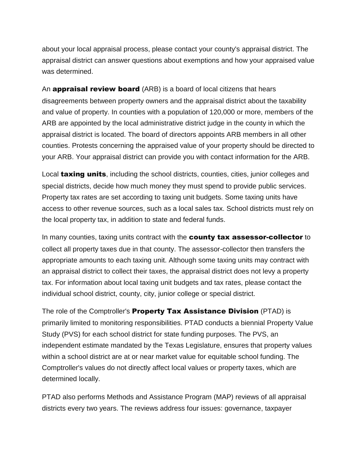about your local appraisal process, please contact your county's appraisal district. The appraisal district can answer questions about exemptions and how your appraised value was determined.

An **appraisal review board** (ARB) is a board of local citizens that hears disagreements between property owners and the appraisal district about the taxability and value of property. In counties with a population of 120,000 or more, members of the ARB are appointed by the local administrative district judge in the county in which the appraisal district is located. The board of directors appoints ARB members in all other counties. Protests concerning the appraised value of your property should be directed to your ARB. Your appraisal district can provide you with contact information for the ARB.

Local taxing units, including the school districts, counties, cities, junior colleges and special districts, decide how much money they must spend to provide public services. Property tax rates are set according to taxing unit budgets. Some taxing units have access to other revenue sources, such as a local sales tax. School districts must rely on the local property tax, in addition to state and federal funds.

In many counties, taxing units contract with the **county tax assessor-collector** to collect all property taxes due in that county. The assessor-collector then transfers the appropriate amounts to each taxing unit. Although some taxing units may contract with an appraisal district to collect their taxes, the appraisal district does not levy a property tax. For information about local taxing unit budgets and tax rates, please contact the individual school district, county, city, junior college or special district.

The role of the Comptroller's **Property Tax Assistance Division** (PTAD) is primarily limited to monitoring responsibilities. PTAD conducts a biennial Property Value Study (PVS) for each school district for state funding purposes. The PVS, an independent estimate mandated by the Texas Legislature, ensures that property values within a school district are at or near market value for equitable school funding. The Comptroller's values do not directly affect local values or property taxes, which are determined locally.

PTAD also performs Methods and Assistance Program (MAP) reviews of all appraisal districts every two years. The reviews address four issues: governance, taxpayer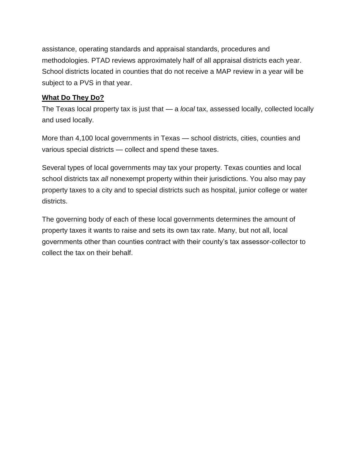assistance, operating standards and appraisal standards, procedures and methodologies. PTAD reviews approximately half of all appraisal districts each year. School districts located in counties that do not receive a MAP review in a year will be subject to a PVS in that year.

## **[What](https://comptroller.texas.gov/taxes/property-tax/basics.php#what) Do They Do?**

The Texas local property tax is just that — a *local* tax, assessed locally, collected locally and used locally.

More than 4,100 local governments in Texas — school districts, cities, counties and various special districts — collect and spend these taxes.

Several types of local governments may tax your property. Texas counties and local school districts tax *all* nonexempt property within their jurisdictions. You also may pay property taxes to a city and to special districts such as hospital, junior college or water districts.

The governing body of each of these local governments determines the amount of property taxes it wants to raise and sets its own tax rate. Many, but not all, local governments other than counties contract with their county's tax assessor-collector to collect the tax on their behalf.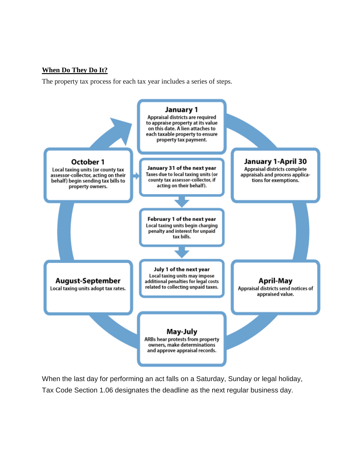#### **[When](https://comptroller.texas.gov/taxes/property-tax/basics.php#when) Do They Do It?**

The property tax process for each tax year includes a series of steps.



When the last day for performing an act falls on a Saturday, Sunday or legal holiday, Tax Code Section 1.06 designates the deadline as the next regular business day.